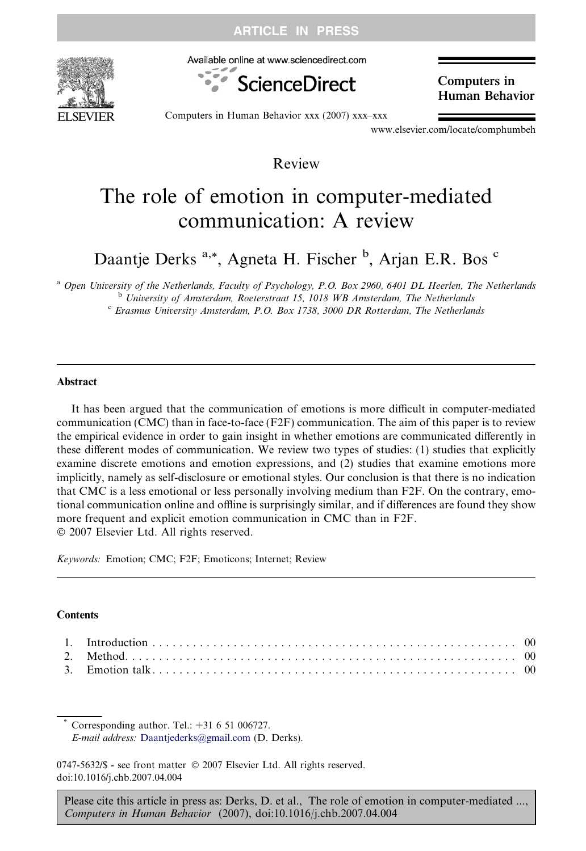

Available online at www.sciencedirect.com



Computers in Human Behavior

Computers in Human Behavior xxx (2007) xxx–xxx

www.elsevier.com/locate/comphumbeh

Review

# The role of emotion in computer-mediated communication: A review

Daantje Derks<sup>a,\*</sup>, Agneta H. Fischer <sup>b</sup>, Arjan E.R. Bos <sup>c</sup>

<sup>a</sup> Open University of the Netherlands, Faculty of Psychology, P.O. Box 2960, 6401 DL Heerlen, The Netherlands <sup>b</sup> University of Amsterdam, Roeterstraat 15, 1018 WB Amsterdam, The Netherlands

<sup>c</sup> Erasmus University Amsterdam, P.O. Box 1738, 3000 DR Rotterdam, The Netherlands

#### Abstract

It has been argued that the communication of emotions is more difficult in computer-mediated communication (CMC) than in face-to-face (F2F) communication. The aim of this paper is to review the empirical evidence in order to gain insight in whether emotions are communicated differently in these different modes of communication. We review two types of studies: (1) studies that explicitly examine discrete emotions and emotion expressions, and (2) studies that examine emotions more implicitly, namely as self-disclosure or emotional styles. Our conclusion is that there is no indication that CMC is a less emotional or less personally involving medium than F2F. On the contrary, emotional communication online and offline is surprisingly similar, and if differences are found they show more frequent and explicit emotion communication in CMC than in F2F. © 2007 Elsevier Ltd. All rights reserved.

Keywords: Emotion; CMC; F2F; Emoticons; Internet; Review

#### **Contents**

Corresponding author. Tel.:  $+31$  6 51 006727. E-mail address: [Daantjederks@gmail.com](mailto:Daantjederks@gmail.com) (D. Derks).

0747-5632/\$ - see front matter © 2007 Elsevier Ltd. All rights reserved. doi:10.1016/j.chb.2007.04.004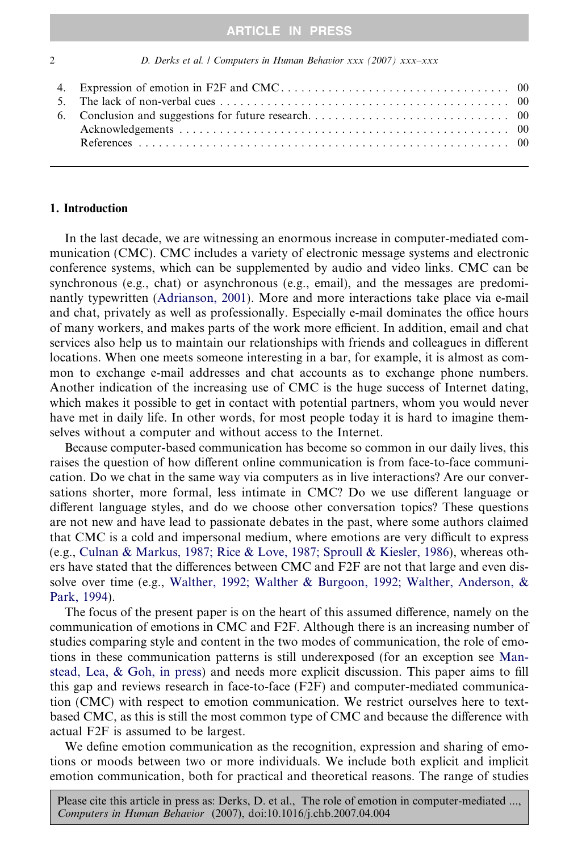| $\sim$ |  |
|--------|--|
|        |  |
|        |  |
|        |  |

## 1. Introduction

In the last decade, we are witnessing an enormous increase in computer-mediated communication (CMC). CMC includes a variety of electronic message systems and electronic conference systems, which can be supplemented by audio and video links. CMC can be synchronous (e.g., chat) or asynchronous (e.g., email), and the messages are predominantly typewritten ([Adrianson, 2001](#page-15-0)). More and more interactions take place via e-mail and chat, privately as well as professionally. Especially e-mail dominates the office hours of many workers, and makes parts of the work more efficient. In addition, email and chat services also help us to maintain our relationships with friends and colleagues in different locations. When one meets someone interesting in a bar, for example, it is almost as common to exchange e-mail addresses and chat accounts as to exchange phone numbers. Another indication of the increasing use of CMC is the huge success of Internet dating, which makes it possible to get in contact with potential partners, whom you would never have met in daily life. In other words, for most people today it is hard to imagine themselves without a computer and without access to the Internet.

Because computer-based communication has become so common in our daily lives, this raises the question of how different online communication is from face-to-face communication. Do we chat in the same way via computers as in live interactions? Are our conversations shorter, more formal, less intimate in CMC? Do we use different language or different language styles, and do we choose other conversation topics? These questions are not new and have lead to passionate debates in the past, where some authors claimed that CMC is a cold and impersonal medium, where emotions are very difficult to express (e.g., [Culnan & Markus, 1987; Rice & Love, 1987; Sproull & Kiesler, 1986\)](#page-16-0), whereas others have stated that the differences between CMC and F2F are not that large and even dissolve over time (e.g., [Walther, 1992; Walther & Burgoon, 1992; Walther, Anderson, &](#page-19-0) [Park, 1994](#page-19-0)).

The focus of the present paper is on the heart of this assumed difference, namely on the communication of emotions in CMC and F2F. Although there is an increasing number of studies comparing style and content in the two modes of communication, the role of emotions in these communication patterns is still underexposed (for an exception see [Man](#page-17-0)[stead, Lea, & Goh, in press](#page-17-0)) and needs more explicit discussion. This paper aims to fill this gap and reviews research in face-to-face (F2F) and computer-mediated communication (CMC) with respect to emotion communication. We restrict ourselves here to textbased CMC, as this is still the most common type of CMC and because the difference with actual F2F is assumed to be largest.

We define emotion communication as the recognition, expression and sharing of emotions or moods between two or more individuals. We include both explicit and implicit emotion communication, both for practical and theoretical reasons. The range of studies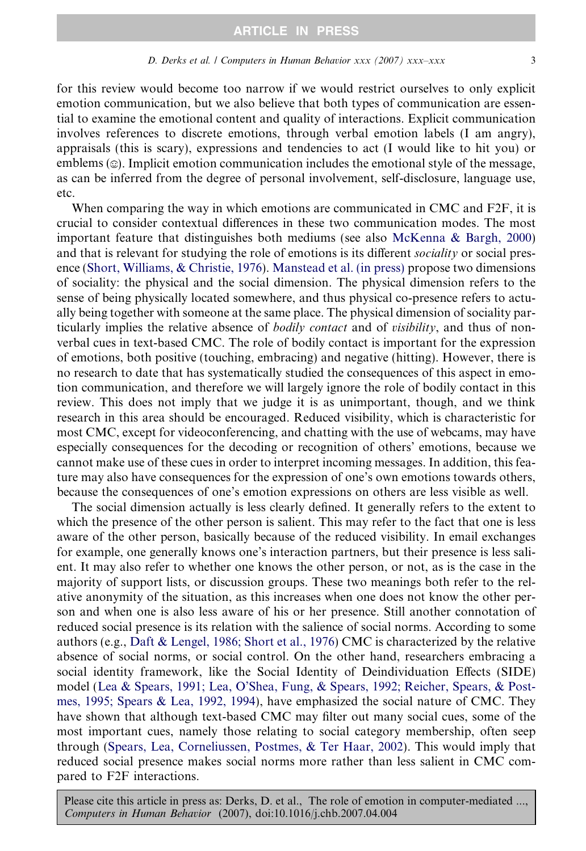for this review would become too narrow if we would restrict ourselves to only explicit emotion communication, but we also believe that both types of communication are essential to examine the emotional content and quality of interactions. Explicit communication involves references to discrete emotions, through verbal emotion labels (I am angry), appraisals (this is scary), expressions and tendencies to act (I would like to hit you) or emblems  $(\circledcirc)$ . Implicit emotion communication includes the emotional style of the message, as can be inferred from the degree of personal involvement, self-disclosure, language use, etc.

When comparing the way in which emotions are communicated in CMC and F2F, it is crucial to consider contextual differences in these two communication modes. The most important feature that distinguishes both mediums (see also [McKenna & Bargh, 2000\)](#page-17-0) and that is relevant for studying the role of emotions is its different *sociality* or social presence ([Short, Williams, & Christie, 1976](#page-18-0)). [Manstead et al. \(in press\)](#page-17-0) propose two dimensions of sociality: the physical and the social dimension. The physical dimension refers to the sense of being physically located somewhere, and thus physical co-presence refers to actually being together with someone at the same place. The physical dimension of sociality particularly implies the relative absence of *bodily contact* and of *visibility*, and thus of nonverbal cues in text-based CMC. The role of bodily contact is important for the expression of emotions, both positive (touching, embracing) and negative (hitting). However, there is no research to date that has systematically studied the consequences of this aspect in emotion communication, and therefore we will largely ignore the role of bodily contact in this review. This does not imply that we judge it is as unimportant, though, and we think research in this area should be encouraged. Reduced visibility, which is characteristic for most CMC, except for videoconferencing, and chatting with the use of webcams, may have especially consequences for the decoding or recognition of others' emotions, because we cannot make use of these cues in order to interpret incoming messages. In addition, this feature may also have consequences for the expression of one's own emotions towards others, because the consequences of one's emotion expressions on others are less visible as well.

The social dimension actually is less clearly defined. It generally refers to the extent to which the presence of the other person is salient. This may refer to the fact that one is less aware of the other person, basically because of the reduced visibility. In email exchanges for example, one generally knows one's interaction partners, but their presence is less salient. It may also refer to whether one knows the other person, or not, as is the case in the majority of support lists, or discussion groups. These two meanings both refer to the relative anonymity of the situation, as this increases when one does not know the other person and when one is also less aware of his or her presence. Still another connotation of reduced social presence is its relation with the salience of social norms. According to some authors (e.g., [Daft & Lengel, 1986; Short et al., 1976](#page-16-0)) CMC is characterized by the relative absence of social norms, or social control. On the other hand, researchers embracing a social identity framework, like the Social Identity of Deindividuation Effects (SIDE) model ([Lea & Spears, 1991; Lea, O'Shea, Fung, & Spears, 1992; Reicher, Spears, & Post](#page-17-0)[mes, 1995; Spears & Lea, 1992, 1994](#page-17-0)), have emphasized the social nature of CMC. They have shown that although text-based CMC may filter out many social cues, some of the most important cues, namely those relating to social category membership, often seep through [\(Spears, Lea, Corneliussen, Postmes, & Ter Haar, 2002](#page-19-0)). This would imply that reduced social presence makes social norms more rather than less salient in CMC compared to F2F interactions.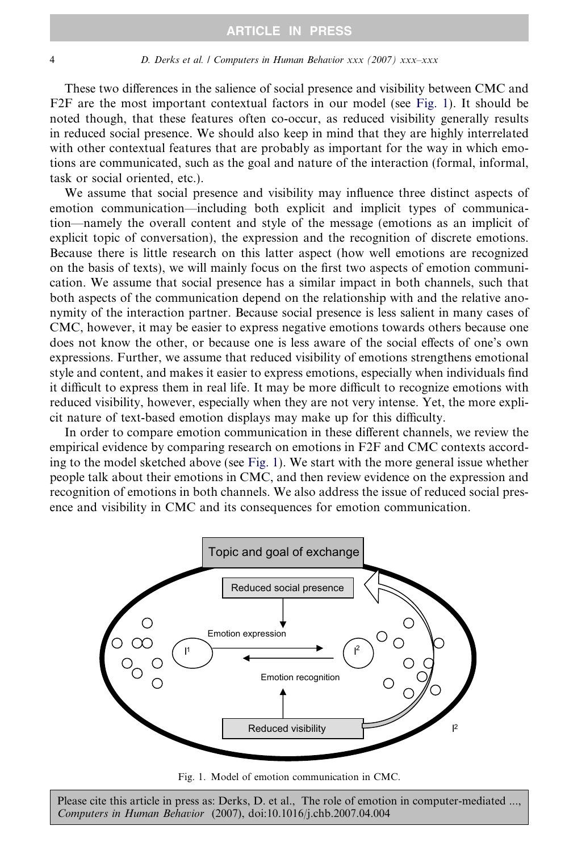These two differences in the salience of social presence and visibility between CMC and F2F are the most important contextual factors in our model (see Fig. 1). It should be noted though, that these features often co-occur, as reduced visibility generally results in reduced social presence. We should also keep in mind that they are highly interrelated with other contextual features that are probably as important for the way in which emotions are communicated, such as the goal and nature of the interaction (formal, informal, task or social oriented, etc.).

We assume that social presence and visibility may influence three distinct aspects of emotion communication—including both explicit and implicit types of communication—namely the overall content and style of the message (emotions as an implicit of explicit topic of conversation), the expression and the recognition of discrete emotions. Because there is little research on this latter aspect (how well emotions are recognized on the basis of texts), we will mainly focus on the first two aspects of emotion communication. We assume that social presence has a similar impact in both channels, such that both aspects of the communication depend on the relationship with and the relative anonymity of the interaction partner. Because social presence is less salient in many cases of CMC, however, it may be easier to express negative emotions towards others because one does not know the other, or because one is less aware of the social effects of one's own expressions. Further, we assume that reduced visibility of emotions strengthens emotional style and content, and makes it easier to express emotions, especially when individuals find it difficult to express them in real life. It may be more difficult to recognize emotions with reduced visibility, however, especially when they are not very intense. Yet, the more explicit nature of text-based emotion displays may make up for this difficulty.

In order to compare emotion communication in these different channels, we review the empirical evidence by comparing research on emotions in F2F and CMC contexts according to the model sketched above (see Fig. 1). We start with the more general issue whether people talk about their emotions in CMC, and then review evidence on the expression and recognition of emotions in both channels. We also address the issue of reduced social presence and visibility in CMC and its consequences for emotion communication.



Fig. 1. Model of emotion communication in CMC.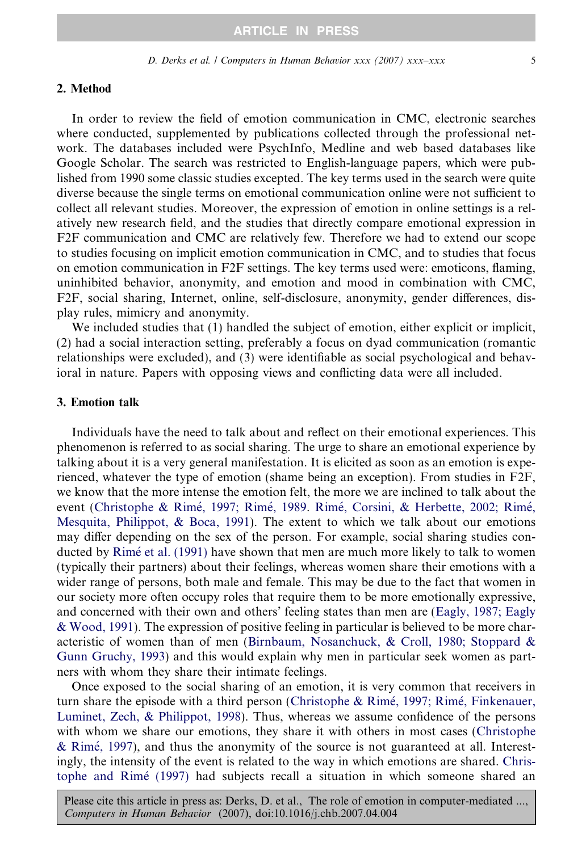#### 2. Method

In order to review the field of emotion communication in CMC, electronic searches where conducted, supplemented by publications collected through the professional network. The databases included were PsychInfo, Medline and web based databases like Google Scholar. The search was restricted to English-language papers, which were published from 1990 some classic studies excepted. The key terms used in the search were quite diverse because the single terms on emotional communication online were not sufficient to collect all relevant studies. Moreover, the expression of emotion in online settings is a relatively new research field, and the studies that directly compare emotional expression in F2F communication and CMC are relatively few. Therefore we had to extend our scope to studies focusing on implicit emotion communication in CMC, and to studies that focus on emotion communication in F2F settings. The key terms used were: emoticons, flaming, uninhibited behavior, anonymity, and emotion and mood in combination with CMC, F2F, social sharing, Internet, online, self-disclosure, anonymity, gender differences, display rules, mimicry and anonymity.

We included studies that (1) handled the subject of emotion, either explicit or implicit, (2) had a social interaction setting, preferably a focus on dyad communication (romantic relationships were excluded), and (3) were identifiable as social psychological and behavioral in nature. Papers with opposing views and conflicting data were all included.

#### 3. Emotion talk

Individuals have the need to talk about and reflect on their emotional experiences. This phenomenon is referred to as social sharing. The urge to share an emotional experience by talking about it is a very general manifestation. It is elicited as soon as an emotion is experienced, whatever the type of emotion (shame being an exception). From studies in F2F, we know that the more intense the emotion felt, the more we are inclined to talk about the event (Christophe & Rimé, 1997; Rimé, 1989. Rimé, Corsini, & Herbette, 2002; Rimé, [Mesquita, Philippot, & Boca, 1991\)](#page-18-0). The extent to which we talk about our emotions may differ depending on the sex of the person. For example, social sharing studies conducted by Rimé [et al. \(1991\)](#page-18-0) have shown that men are much more likely to talk to women (typically their partners) about their feelings, whereas women share their emotions with a wider range of persons, both male and female. This may be due to the fact that women in our society more often occupy roles that require them to be more emotionally expressive, and concerned with their own and others' feeling states than men are ([Eagly, 1987; Eagly](#page-16-0) [& Wood, 1991\)](#page-16-0). The expression of positive feeling in particular is believed to be more characteristic of women than of men [\(Birnbaum, Nosanchuck, & Croll, 1980; Stoppard &](#page-16-0) [Gunn Gruchy, 1993\)](#page-16-0) and this would explain why men in particular seek women as partners with whom they share their intimate feelings.

Once exposed to the social sharing of an emotion, it is very common that receivers in turn share the episode with a third person (Christophe & Rimé, 1997; Rimé, Finkenauer, [Luminet, Zech, & Philippot, 1998](#page-16-0)). Thus, whereas we assume confidence of the persons with whom we share our emotions, they share it with others in most cases ([Christophe](#page-16-0) [& Rime´, 1997](#page-16-0)), and thus the anonymity of the source is not guaranteed at all. Interestingly, the intensity of the event is related to the way in which emotions are shared. [Chris](#page-16-0)[tophe and Rime´](#page-16-0) (1997) had subjects recall a situation in which someone shared an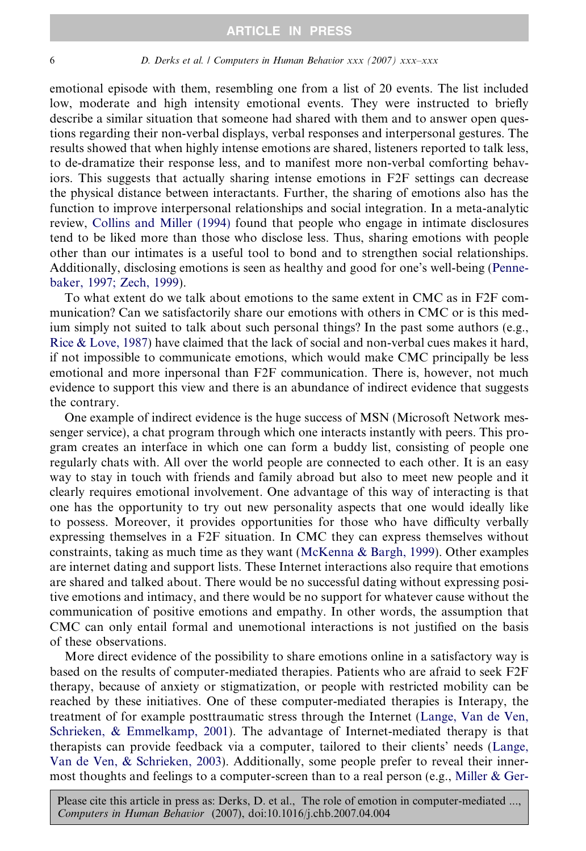#### 6 D. Derks et al. / Computers in Human Behavior xxx (2007) xxx–xxx

emotional episode with them, resembling one from a list of 20 events. The list included low, moderate and high intensity emotional events. They were instructed to briefly describe a similar situation that someone had shared with them and to answer open questions regarding their non-verbal displays, verbal responses and interpersonal gestures. The results showed that when highly intense emotions are shared, listeners reported to talk less, to de-dramatize their response less, and to manifest more non-verbal comforting behaviors. This suggests that actually sharing intense emotions in F2F settings can decrease the physical distance between interactants. Further, the sharing of emotions also has the function to improve interpersonal relationships and social integration. In a meta-analytic review, [Collins and Miller \(1994\)](#page-16-0) found that people who engage in intimate disclosures tend to be liked more than those who disclose less. Thus, sharing emotions with people other than our intimates is a useful tool to bond and to strengthen social relationships. Additionally, disclosing emotions is seen as healthy and good for one's well-being [\(Penne](#page-18-0)[baker, 1997; Zech, 1999\)](#page-18-0).

To what extent do we talk about emotions to the same extent in CMC as in F2F communication? Can we satisfactorily share our emotions with others in CMC or is this medium simply not suited to talk about such personal things? In the past some authors (e.g., [Rice & Love, 1987](#page-18-0)) have claimed that the lack of social and non-verbal cues makes it hard, if not impossible to communicate emotions, which would make CMC principally be less emotional and more inpersonal than F2F communication. There is, however, not much evidence to support this view and there is an abundance of indirect evidence that suggests the contrary.

One example of indirect evidence is the huge success of MSN (Microsoft Network messenger service), a chat program through which one interacts instantly with peers. This program creates an interface in which one can form a buddy list, consisting of people one regularly chats with. All over the world people are connected to each other. It is an easy way to stay in touch with friends and family abroad but also to meet new people and it clearly requires emotional involvement. One advantage of this way of interacting is that one has the opportunity to try out new personality aspects that one would ideally like to possess. Moreover, it provides opportunities for those who have difficulty verbally expressing themselves in a F2F situation. In CMC they can express themselves without constraints, taking as much time as they want [\(McKenna & Bargh, 1999](#page-17-0)). Other examples are internet dating and support lists. These Internet interactions also require that emotions are shared and talked about. There would be no successful dating without expressing positive emotions and intimacy, and there would be no support for whatever cause without the communication of positive emotions and empathy. In other words, the assumption that CMC can only entail formal and unemotional interactions is not justified on the basis of these observations.

More direct evidence of the possibility to share emotions online in a satisfactory way is based on the results of computer-mediated therapies. Patients who are afraid to seek F2F therapy, because of anxiety or stigmatization, or people with restricted mobility can be reached by these initiatives. One of these computer-mediated therapies is Interapy, the treatment of for example posttraumatic stress through the Internet ([Lange, Van de Ven,](#page-17-0) [Schrieken, & Emmelkamp, 2001\)](#page-17-0). The advantage of Internet-mediated therapy is that therapists can provide feedback via a computer, tailored to their clients' needs [\(Lange,](#page-17-0) [Van de Ven, & Schrieken, 2003\)](#page-17-0). Additionally, some people prefer to reveal their innermost thoughts and feelings to a computer-screen than to a real person (e.g., Miller  $\&$  Ger-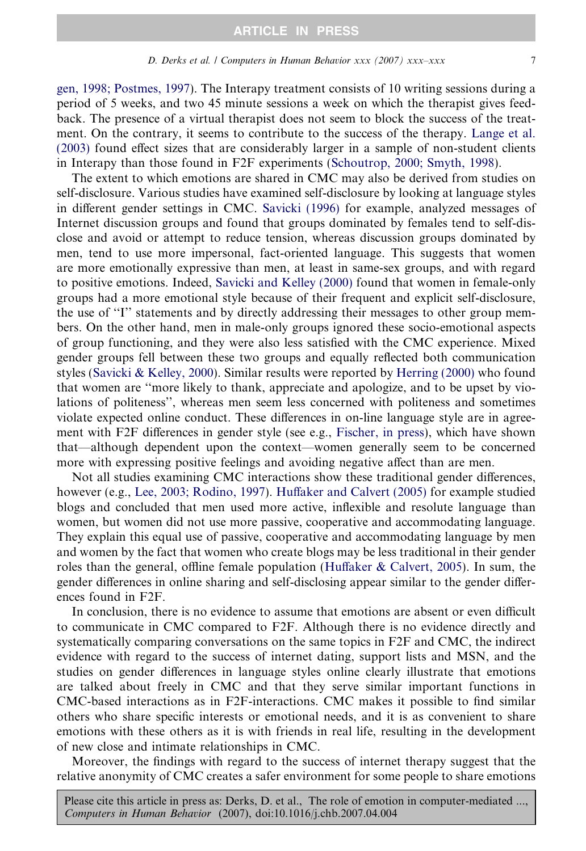[gen, 1998; Postmes, 1997\)](#page-18-0). The Interapy treatment consists of 10 writing sessions during a period of 5 weeks, and two 45 minute sessions a week on which the therapist gives feedback. The presence of a virtual therapist does not seem to block the success of the treatment. On the contrary, it seems to contribute to the success of the therapy. [Lange et al.](#page-17-0) [\(2003\)](#page-17-0) found effect sizes that are considerably larger in a sample of non-student clients in Interapy than those found in F2F experiments ([Schoutrop, 2000; Smyth, 1998\)](#page-18-0).

The extent to which emotions are shared in CMC may also be derived from studies on self-disclosure. Various studies have examined self-disclosure by looking at language styles in different gender settings in CMC. [Savicki \(1996\)](#page-18-0) for example, analyzed messages of Internet discussion groups and found that groups dominated by females tend to self-disclose and avoid or attempt to reduce tension, whereas discussion groups dominated by men, tend to use more impersonal, fact-oriented language. This suggests that women are more emotionally expressive than men, at least in same-sex groups, and with regard to positive emotions. Indeed, [Savicki and Kelley \(2000\)](#page-18-0) found that women in female-only groups had a more emotional style because of their frequent and explicit self-disclosure, the use of ''I'' statements and by directly addressing their messages to other group members. On the other hand, men in male-only groups ignored these socio-emotional aspects of group functioning, and they were also less satisfied with the CMC experience. Mixed gender groups fell between these two groups and equally reflected both communication styles [\(Savicki & Kelley, 2000](#page-18-0)). Similar results were reported by [Herring \(2000\)](#page-17-0) who found that women are ''more likely to thank, appreciate and apologize, and to be upset by violations of politeness'', whereas men seem less concerned with politeness and sometimes violate expected online conduct. These differences in on-line language style are in agreement with F2F differences in gender style (see e.g., [Fischer, in press\)](#page-16-0), which have shown that—although dependent upon the context—women generally seem to be concerned more with expressing positive feelings and avoiding negative affect than are men.

Not all studies examining CMC interactions show these traditional gender differences, however (e.g., [Lee, 2003; Rodino, 1997\)](#page-17-0). [Huffaker and Calvert \(2005\)](#page-17-0) for example studied blogs and concluded that men used more active, inflexible and resolute language than women, but women did not use more passive, cooperative and accommodating language. They explain this equal use of passive, cooperative and accommodating language by men and women by the fact that women who create blogs may be less traditional in their gender roles than the general, offline female population [\(Huffaker & Calvert, 2005](#page-17-0)). In sum, the gender differences in online sharing and self-disclosing appear similar to the gender differences found in F2F.

In conclusion, there is no evidence to assume that emotions are absent or even difficult to communicate in CMC compared to F2F. Although there is no evidence directly and systematically comparing conversations on the same topics in F2F and CMC, the indirect evidence with regard to the success of internet dating, support lists and MSN, and the studies on gender differences in language styles online clearly illustrate that emotions are talked about freely in CMC and that they serve similar important functions in CMC-based interactions as in F2F-interactions. CMC makes it possible to find similar others who share specific interests or emotional needs, and it is as convenient to share emotions with these others as it is with friends in real life, resulting in the development of new close and intimate relationships in CMC.

Moreover, the findings with regard to the success of internet therapy suggest that the relative anonymity of CMC creates a safer environment for some people to share emotions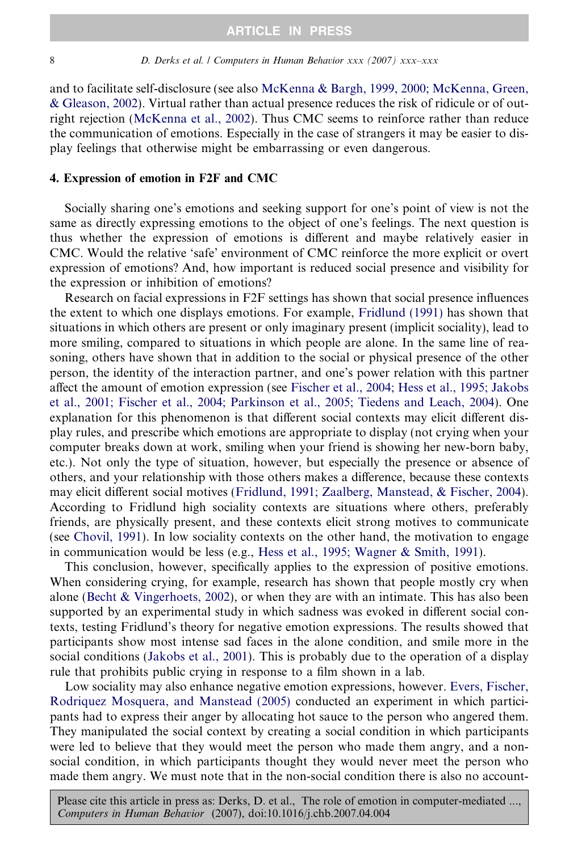and to facilitate self-disclosure (see also [McKenna & Bargh, 1999, 2000; McKenna, Green,](#page-17-0) [& Gleason, 2002](#page-17-0)). Virtual rather than actual presence reduces the risk of ridicule or of outright rejection ([McKenna et al., 2002](#page-18-0)). Thus CMC seems to reinforce rather than reduce the communication of emotions. Especially in the case of strangers it may be easier to display feelings that otherwise might be embarrassing or even dangerous.

#### 4. Expression of emotion in F2F and CMC

Socially sharing one's emotions and seeking support for one's point of view is not the same as directly expressing emotions to the object of one's feelings. The next question is thus whether the expression of emotions is different and maybe relatively easier in CMC. Would the relative 'safe' environment of CMC reinforce the more explicit or overt expression of emotions? And, how important is reduced social presence and visibility for the expression or inhibition of emotions?

Research on facial expressions in F2F settings has shown that social presence influences the extent to which one displays emotions. For example, [Fridlund \(1991\)](#page-16-0) has shown that situations in which others are present or only imaginary present (implicit sociality), lead to more smiling, compared to situations in which people are alone. In the same line of reasoning, others have shown that in addition to the social or physical presence of the other person, the identity of the interaction partner, and one's power relation with this partner affect the amount of emotion expression (see [Fischer et al., 2004; Hess et al., 1995; Jakobs](#page-16-0) [et al., 2001; Fischer et al., 2004; Parkinson et al., 2005; Tiedens and Leach, 2004\)](#page-16-0). One explanation for this phenomenon is that different social contexts may elicit different display rules, and prescribe which emotions are appropriate to display (not crying when your computer breaks down at work, smiling when your friend is showing her new-born baby, etc.). Not only the type of situation, however, but especially the presence or absence of others, and your relationship with those others makes a difference, because these contexts may elicit different social motives [\(Fridlund, 1991; Zaalberg, Manstead, & Fischer, 2004](#page-16-0)). According to Fridlund high sociality contexts are situations where others, preferably friends, are physically present, and these contexts elicit strong motives to communicate (see [Chovil, 1991](#page-16-0)). In low sociality contexts on the other hand, the motivation to engage in communication would be less (e.g., [Hess et al., 1995; Wagner & Smith, 1991](#page-17-0)).

This conclusion, however, specifically applies to the expression of positive emotions. When considering crying, for example, research has shown that people mostly cry when alone (Becht  $\&$  Vingerhoets, 2002), or when they are with an intimate. This has also been supported by an experimental study in which sadness was evoked in different social contexts, testing Fridlund's theory for negative emotion expressions. The results showed that participants show most intense sad faces in the alone condition, and smile more in the social conditions [\(Jakobs et al., 2001](#page-17-0)). This is probably due to the operation of a display rule that prohibits public crying in response to a film shown in a lab.

Low sociality may also enhance negative emotion expressions, however. [Evers, Fischer,](#page-16-0) [Rodriquez Mosquera, and Manstead \(2005\)](#page-16-0) conducted an experiment in which participants had to express their anger by allocating hot sauce to the person who angered them. They manipulated the social context by creating a social condition in which participants were led to believe that they would meet the person who made them angry, and a nonsocial condition, in which participants thought they would never meet the person who made them angry. We must note that in the non-social condition there is also no account-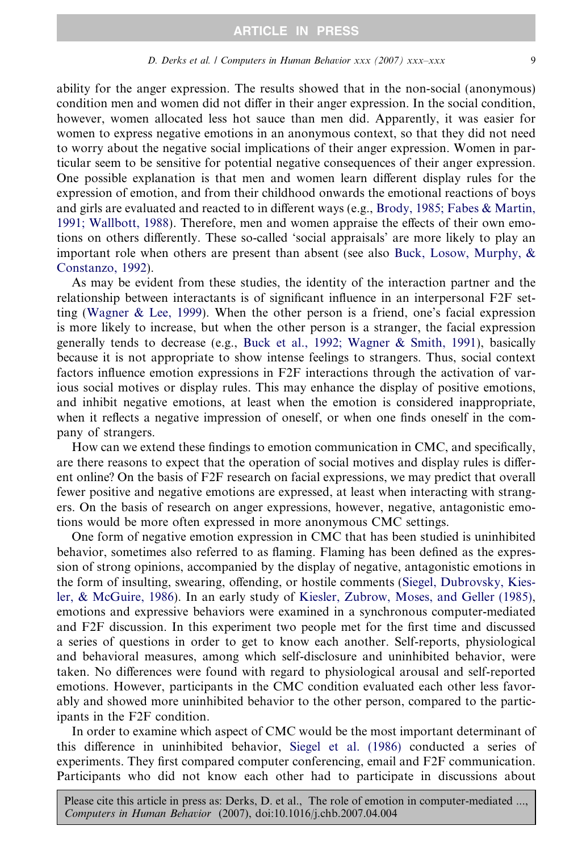#### D. Derks et al. / Computers in Human Behavior  $xxx$  (2007)  $xxx-xxx$  9

ability for the anger expression. The results showed that in the non-social (anonymous) condition men and women did not differ in their anger expression. In the social condition, however, women allocated less hot sauce than men did. Apparently, it was easier for women to express negative emotions in an anonymous context, so that they did not need to worry about the negative social implications of their anger expression. Women in particular seem to be sensitive for potential negative consequences of their anger expression. One possible explanation is that men and women learn different display rules for the expression of emotion, and from their childhood onwards the emotional reactions of boys and girls are evaluated and reacted to in different ways (e.g., [Brody, 1985; Fabes & Martin,](#page-16-0) [1991; Wallbott, 1988\)](#page-16-0). Therefore, men and women appraise the effects of their own emotions on others differently. These so-called 'social appraisals' are more likely to play an important role when others are present than absent (see also [Buck, Losow, Murphy, &](#page-16-0) [Constanzo, 1992](#page-16-0)).

As may be evident from these studies, the identity of the interaction partner and the relationship between interactants is of significant influence in an interpersonal F2F setting [\(Wagner & Lee, 1999](#page-19-0)). When the other person is a friend, one's facial expression is more likely to increase, but when the other person is a stranger, the facial expression generally tends to decrease (e.g., [Buck et al., 1992; Wagner & Smith, 1991\)](#page-16-0), basically because it is not appropriate to show intense feelings to strangers. Thus, social context factors influence emotion expressions in F2F interactions through the activation of various social motives or display rules. This may enhance the display of positive emotions, and inhibit negative emotions, at least when the emotion is considered inappropriate, when it reflects a negative impression of oneself, or when one finds oneself in the company of strangers.

How can we extend these findings to emotion communication in CMC, and specifically, are there reasons to expect that the operation of social motives and display rules is different online? On the basis of F2F research on facial expressions, we may predict that overall fewer positive and negative emotions are expressed, at least when interacting with strangers. On the basis of research on anger expressions, however, negative, antagonistic emotions would be more often expressed in more anonymous CMC settings.

One form of negative emotion expression in CMC that has been studied is uninhibited behavior, sometimes also referred to as flaming. Flaming has been defined as the expression of strong opinions, accompanied by the display of negative, antagonistic emotions in the form of insulting, swearing, offending, or hostile comments [\(Siegel, Dubrovsky, Kies](#page-18-0)[ler, & McGuire, 1986\)](#page-18-0). In an early study of [Kiesler, Zubrow, Moses, and Geller \(1985\)](#page-17-0), emotions and expressive behaviors were examined in a synchronous computer-mediated and F2F discussion. In this experiment two people met for the first time and discussed a series of questions in order to get to know each another. Self-reports, physiological and behavioral measures, among which self-disclosure and uninhibited behavior, were taken. No differences were found with regard to physiological arousal and self-reported emotions. However, participants in the CMC condition evaluated each other less favorably and showed more uninhibited behavior to the other person, compared to the participants in the F2F condition.

In order to examine which aspect of CMC would be the most important determinant of this difference in uninhibited behavior, [Siegel et al. \(1986\)](#page-18-0) conducted a series of experiments. They first compared computer conferencing, email and F2F communication. Participants who did not know each other had to participate in discussions about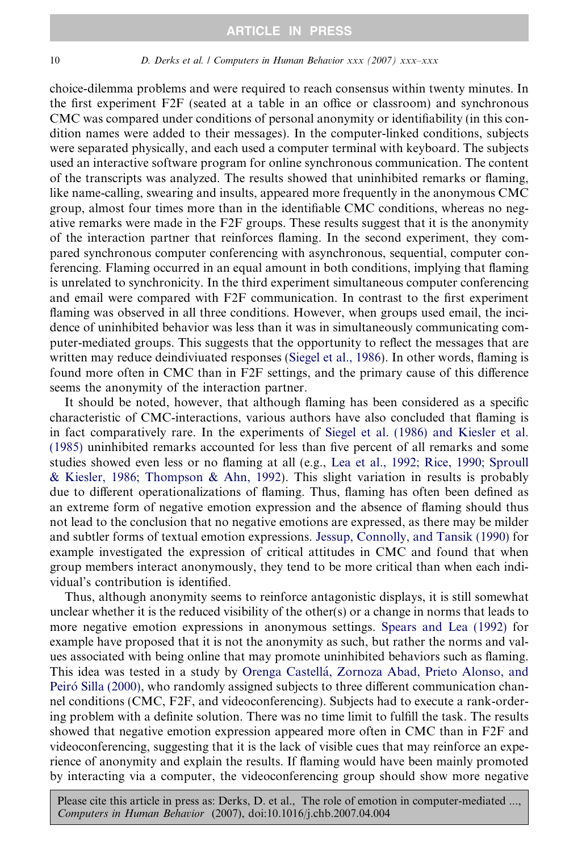#### 10 D. Derks et al. / Computers in Human Behavior  $xxx$  (2007)  $xxx-xx$

choice-dilemma problems and were required to reach consensus within twenty minutes. In the first experiment F2F (seated at a table in an office or classroom) and synchronous CMC was compared under conditions of personal anonymity or identifiability (in this condition names were added to their messages). In the computer-linked conditions, subjects were separated physically, and each used a computer terminal with keyboard. The subjects used an interactive software program for online synchronous communication. The content of the transcripts was analyzed. The results showed that uninhibited remarks or flaming, like name-calling, swearing and insults, appeared more frequently in the anonymous CMC group, almost four times more than in the identifiable CMC conditions, whereas no negative remarks were made in the F2F groups. These results suggest that it is the anonymity of the interaction partner that reinforces flaming. In the second experiment, they compared synchronous computer conferencing with asynchronous, sequential, computer conferencing. Flaming occurred in an equal amount in both conditions, implying that flaming is unrelated to synchronicity. In the third experiment simultaneous computer conferencing and email were compared with F2F communication. In contrast to the first experiment flaming was observed in all three conditions. However, when groups used email, the incidence of uninhibited behavior was less than it was in simultaneously communicating computer-mediated groups. This suggests that the opportunity to reflect the messages that are written may reduce deindiviuated responses ([Siegel et al., 1986](#page-18-0)). In other words, flaming is found more often in CMC than in F2F settings, and the primary cause of this difference seems the anonymity of the interaction partner.

It should be noted, however, that although flaming has been considered as a specific characteristic of CMC-interactions, various authors have also concluded that flaming is in fact comparatively rare. In the experiments of [Siegel et al. \(1986\) and Kiesler et al.](#page-18-0) [\(1985\)](#page-18-0) uninhibited remarks accounted for less than five percent of all remarks and some studies showed even less or no flaming at all (e.g., [Lea et al., 1992; Rice, 1990; Sproull](#page-17-0) [& Kiesler, 1986; Thompson & Ahn, 1992\)](#page-17-0). This slight variation in results is probably due to different operationalizations of flaming. Thus, flaming has often been defined as an extreme form of negative emotion expression and the absence of flaming should thus not lead to the conclusion that no negative emotions are expressed, as there may be milder and subtler forms of textual emotion expressions. [Jessup, Connolly, and Tansik \(1990\)](#page-17-0) for example investigated the expression of critical attitudes in CMC and found that when group members interact anonymously, they tend to be more critical than when each individual's contribution is identified.

Thus, although anonymity seems to reinforce antagonistic displays, it is still somewhat unclear whether it is the reduced visibility of the other(s) or a change in norms that leads to more negative emotion expressions in anonymous settings. [Spears and Lea \(1992\)](#page-19-0) for example have proposed that it is not the anonymity as such, but rather the norms and values associated with being online that may promote uninhibited behaviors such as flaming. This idea was tested in a study by Orenga Castellá, Zornoza Abad, Prieto Alonso, and Peiró [Silla \(2000\),](#page-18-0) who randomly assigned subjects to three different communication channel conditions (CMC, F2F, and videoconferencing). Subjects had to execute a rank-ordering problem with a definite solution. There was no time limit to fulfill the task. The results showed that negative emotion expression appeared more often in CMC than in F2F and videoconferencing, suggesting that it is the lack of visible cues that may reinforce an experience of anonymity and explain the results. If flaming would have been mainly promoted by interacting via a computer, the videoconferencing group should show more negative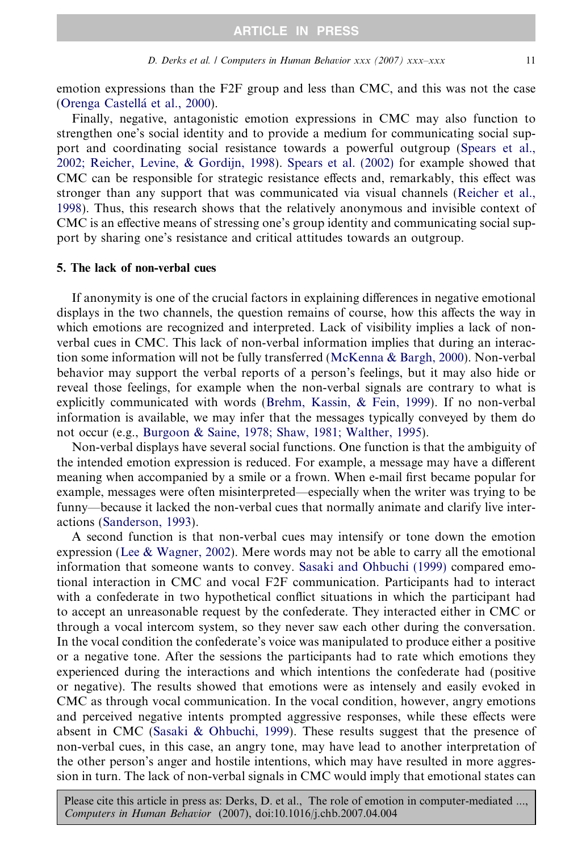emotion expressions than the F2F group and less than CMC, and this was not the case (Orenga Castellá et al., 2000).

Finally, negative, antagonistic emotion expressions in CMC may also function to strengthen one's social identity and to provide a medium for communicating social support and coordinating social resistance towards a powerful outgroup [\(Spears et al.,](#page-19-0) [2002; Reicher, Levine, & Gordijn, 1998\)](#page-19-0). [Spears et al. \(2002\)](#page-19-0) for example showed that CMC can be responsible for strategic resistance effects and, remarkably, this effect was stronger than any support that was communicated via visual channels [\(Reicher et al.,](#page-18-0) [1998](#page-18-0)). Thus, this research shows that the relatively anonymous and invisible context of CMC is an effective means of stressing one's group identity and communicating social support by sharing one's resistance and critical attitudes towards an outgroup.

## 5. The lack of non-verbal cues

If anonymity is one of the crucial factors in explaining differences in negative emotional displays in the two channels, the question remains of course, how this affects the way in which emotions are recognized and interpreted. Lack of visibility implies a lack of nonverbal cues in CMC. This lack of non-verbal information implies that during an interaction some information will not be fully transferred ([McKenna & Bargh, 2000](#page-17-0)). Non-verbal behavior may support the verbal reports of a person's feelings, but it may also hide or reveal those feelings, for example when the non-verbal signals are contrary to what is explicitly communicated with words ([Brehm, Kassin, & Fein, 1999\)](#page-16-0). If no non-verbal information is available, we may infer that the messages typically conveyed by them do not occur (e.g., [Burgoon & Saine, 1978; Shaw, 1981; Walther, 1995\)](#page-16-0).

Non-verbal displays have several social functions. One function is that the ambiguity of the intended emotion expression is reduced. For example, a message may have a different meaning when accompanied by a smile or a frown. When e-mail first became popular for example, messages were often misinterpreted—especially when the writer was trying to be funny—because it lacked the non-verbal cues that normally animate and clarify live interactions [\(Sanderson, 1993\)](#page-18-0).

A second function is that non-verbal cues may intensify or tone down the emotion expression [\(Lee & Wagner, 2002](#page-17-0)). Mere words may not be able to carry all the emotional information that someone wants to convey. [Sasaki and Ohbuchi \(1999\)](#page-18-0) compared emotional interaction in CMC and vocal F2F communication. Participants had to interact with a confederate in two hypothetical conflict situations in which the participant had to accept an unreasonable request by the confederate. They interacted either in CMC or through a vocal intercom system, so they never saw each other during the conversation. In the vocal condition the confederate's voice was manipulated to produce either a positive or a negative tone. After the sessions the participants had to rate which emotions they experienced during the interactions and which intentions the confederate had (positive or negative). The results showed that emotions were as intensely and easily evoked in CMC as through vocal communication. In the vocal condition, however, angry emotions and perceived negative intents prompted aggressive responses, while these effects were absent in CMC ([Sasaki & Ohbuchi, 1999](#page-18-0)). These results suggest that the presence of non-verbal cues, in this case, an angry tone, may have lead to another interpretation of the other person's anger and hostile intentions, which may have resulted in more aggression in turn. The lack of non-verbal signals in CMC would imply that emotional states can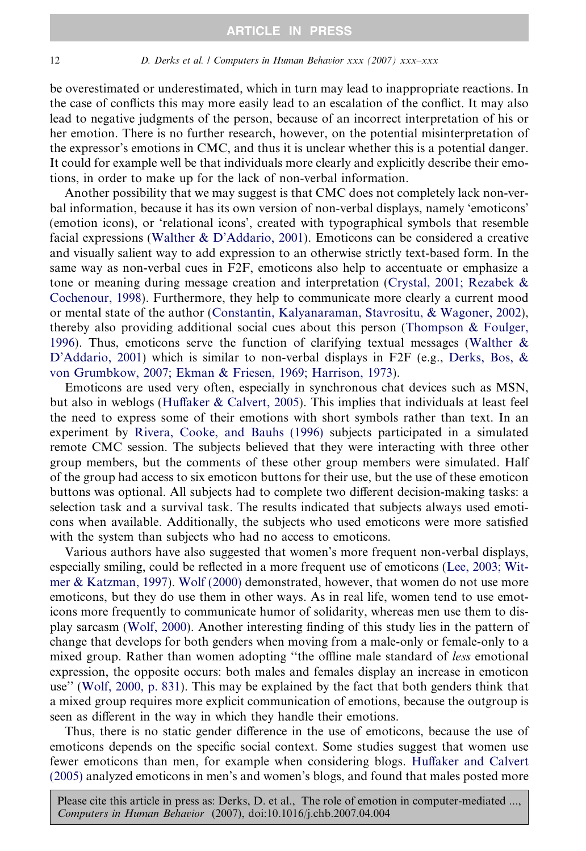be overestimated or underestimated, which in turn may lead to inappropriate reactions. In the case of conflicts this may more easily lead to an escalation of the conflict. It may also lead to negative judgments of the person, because of an incorrect interpretation of his or her emotion. There is no further research, however, on the potential misinterpretation of the expressor's emotions in CMC, and thus it is unclear whether this is a potential danger. It could for example well be that individuals more clearly and explicitly describe their emotions, in order to make up for the lack of non-verbal information.

Another possibility that we may suggest is that CMC does not completely lack non-verbal information, because it has its own version of non-verbal displays, namely 'emoticons' (emotion icons), or 'relational icons', created with typographical symbols that resemble facial expressions [\(Walther & D'Addario, 2001\)](#page-19-0). Emoticons can be considered a creative and visually salient way to add expression to an otherwise strictly text-based form. In the same way as non-verbal cues in F2F, emoticons also help to accentuate or emphasize a tone or meaning during message creation and interpretation [\(Crystal, 2001; Rezabek &](#page-16-0) [Cochenour, 1998](#page-16-0)). Furthermore, they help to communicate more clearly a current mood or mental state of the author [\(Constantin, Kalyanaraman, Stavrositu, & Wagoner, 2002](#page-16-0)), thereby also providing additional social cues about this person (Thompson  $\&$  Foulger, [1996\)](#page-19-0). Thus, emoticons serve the function of clarifying textual messages (Walther  $\&$ [D'Addario, 2001\)](#page-19-0) which is similar to non-verbal displays in F2F (e.g., [Derks, Bos, &](#page-16-0) [von Grumbkow, 2007; Ekman & Friesen, 1969; Harrison, 1973\)](#page-16-0).

Emoticons are used very often, especially in synchronous chat devices such as MSN, but also in weblogs ([Huffaker & Calvert, 2005\)](#page-17-0). This implies that individuals at least feel the need to express some of their emotions with short symbols rather than text. In an experiment by [Rivera, Cooke, and Bauhs \(1996\)](#page-18-0) subjects participated in a simulated remote CMC session. The subjects believed that they were interacting with three other group members, but the comments of these other group members were simulated. Half of the group had access to six emoticon buttons for their use, but the use of these emoticon buttons was optional. All subjects had to complete two different decision-making tasks: a selection task and a survival task. The results indicated that subjects always used emoticons when available. Additionally, the subjects who used emoticons were more satisfied with the system than subjects who had no access to emoticons.

Various authors have also suggested that women's more frequent non-verbal displays, especially smiling, could be reflected in a more frequent use of emoticons ([Lee, 2003; Wit](#page-17-0)[mer & Katzman, 1997\)](#page-17-0). [Wolf \(2000\)](#page-19-0) demonstrated, however, that women do not use more emoticons, but they do use them in other ways. As in real life, women tend to use emoticons more frequently to communicate humor of solidarity, whereas men use them to display sarcasm ([Wolf, 2000](#page-19-0)). Another interesting finding of this study lies in the pattern of change that develops for both genders when moving from a male-only or female-only to a mixed group. Rather than women adopting "the offline male standard of less emotional expression, the opposite occurs: both males and females display an increase in emoticon use'' [\(Wolf, 2000, p. 831](#page-19-0)). This may be explained by the fact that both genders think that a mixed group requires more explicit communication of emotions, because the outgroup is seen as different in the way in which they handle their emotions.

Thus, there is no static gender difference in the use of emoticons, because the use of emoticons depends on the specific social context. Some studies suggest that women use fewer emoticons than men, for example when considering blogs. [Huffaker and Calvert](#page-17-0) [\(2005\)](#page-17-0) analyzed emoticons in men's and women's blogs, and found that males posted more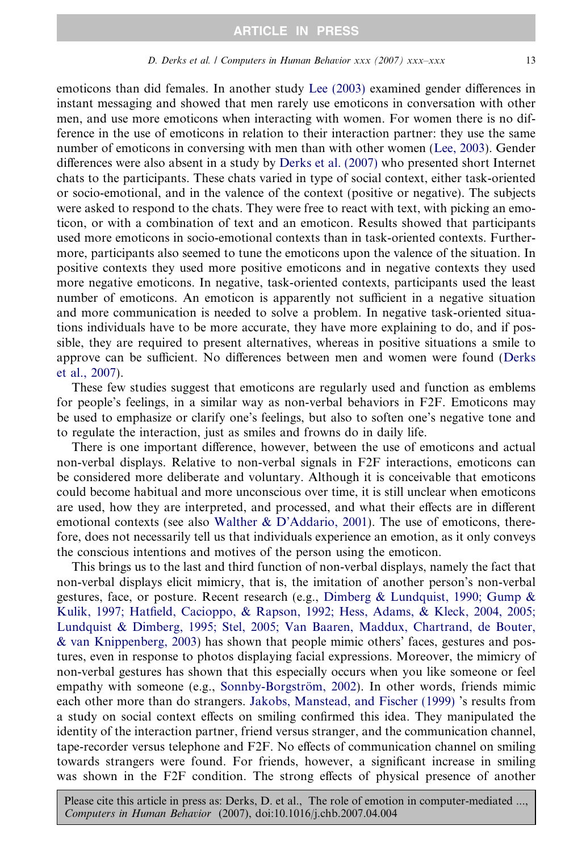#### D. Derks et al. / Computers in Human Behavior xxx (2007) xxx–xxx 13

emoticons than did females. In another study [Lee \(2003\)](#page-17-0) examined gender differences in instant messaging and showed that men rarely use emoticons in conversation with other men, and use more emoticons when interacting with women. For women there is no difference in the use of emoticons in relation to their interaction partner: they use the same number of emoticons in conversing with men than with other women [\(Lee, 2003](#page-17-0)). Gender differences were also absent in a study by [Derks et al. \(2007\)](#page-16-0) who presented short Internet chats to the participants. These chats varied in type of social context, either task-oriented or socio-emotional, and in the valence of the context (positive or negative). The subjects were asked to respond to the chats. They were free to react with text, with picking an emoticon, or with a combination of text and an emoticon. Results showed that participants used more emoticons in socio-emotional contexts than in task-oriented contexts. Furthermore, participants also seemed to tune the emoticons upon the valence of the situation. In positive contexts they used more positive emoticons and in negative contexts they used more negative emoticons. In negative, task-oriented contexts, participants used the least number of emoticons. An emoticon is apparently not sufficient in a negative situation and more communication is needed to solve a problem. In negative task-oriented situations individuals have to be more accurate, they have more explaining to do, and if possible, they are required to present alternatives, whereas in positive situations a smile to approve can be sufficient. No differences between men and women were found [\(Derks](#page-16-0) [et al., 2007\)](#page-16-0).

These few studies suggest that emoticons are regularly used and function as emblems for people's feelings, in a similar way as non-verbal behaviors in F2F. Emoticons may be used to emphasize or clarify one's feelings, but also to soften one's negative tone and to regulate the interaction, just as smiles and frowns do in daily life.

There is one important difference, however, between the use of emoticons and actual non-verbal displays. Relative to non-verbal signals in F2F interactions, emoticons can be considered more deliberate and voluntary. Although it is conceivable that emoticons could become habitual and more unconscious over time, it is still unclear when emoticons are used, how they are interpreted, and processed, and what their effects are in different emotional contexts (see also [Walther & D'Addario, 2001\)](#page-19-0). The use of emoticons, therefore, does not necessarily tell us that individuals experience an emotion, as it only conveys the conscious intentions and motives of the person using the emoticon.

This brings us to the last and third function of non-verbal displays, namely the fact that non-verbal displays elicit mimicry, that is, the imitation of another person's non-verbal gestures, face, or posture. Recent research (e.g., [Dimberg & Lundquist, 1990; Gump &](#page-16-0) [Kulik, 1997; Hatfield, Cacioppo, & Rapson, 1992; Hess, Adams, & Kleck, 2004, 2005;](#page-16-0) [Lundquist & Dimberg, 1995; Stel, 2005; Van Baaren, Maddux, Chartrand, de Bouter,](#page-16-0) [& van Knippenberg, 2003](#page-16-0)) has shown that people mimic others' faces, gestures and postures, even in response to photos displaying facial expressions. Moreover, the mimicry of non-verbal gestures has shown that this especially occurs when you like someone or feel empathy with someone (e.g., Sonnby-Borgström, 2002). In other words, friends mimic each other more than do strangers. [Jakobs, Manstead, and Fischer \(1999\)](#page-17-0) 's results from a study on social context effects on smiling confirmed this idea. They manipulated the identity of the interaction partner, friend versus stranger, and the communication channel, tape-recorder versus telephone and F2F. No effects of communication channel on smiling towards strangers were found. For friends, however, a significant increase in smiling was shown in the F2F condition. The strong effects of physical presence of another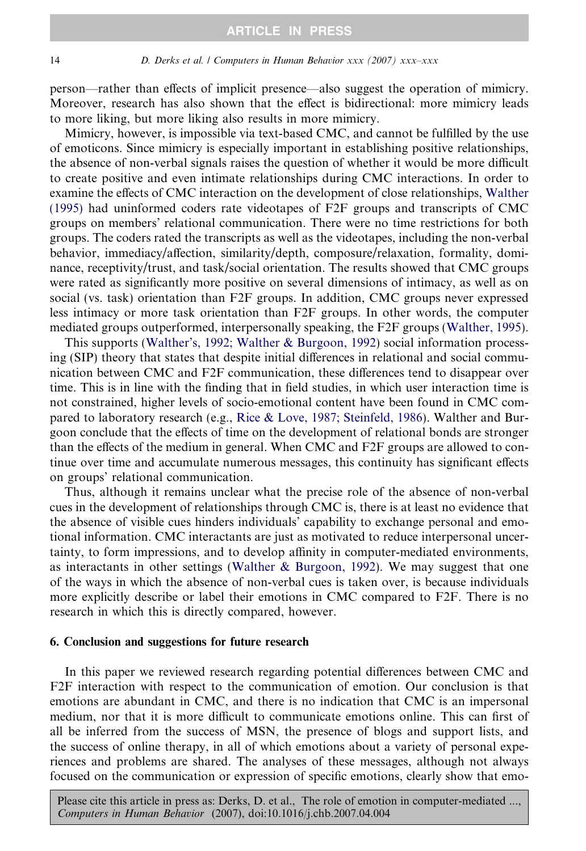person—rather than effects of implicit presence—also suggest the operation of mimicry. Moreover, research has also shown that the effect is bidirectional: more mimicry leads to more liking, but more liking also results in more mimicry.

Mimicry, however, is impossible via text-based CMC, and cannot be fulfilled by the use of emoticons. Since mimicry is especially important in establishing positive relationships, the absence of non-verbal signals raises the question of whether it would be more difficult to create positive and even intimate relationships during CMC interactions. In order to examine the effects of CMC interaction on the development of close relationships, [Walther](#page-19-0) [\(1995\)](#page-19-0) had uninformed coders rate videotapes of F2F groups and transcripts of CMC groups on members' relational communication. There were no time restrictions for both groups. The coders rated the transcripts as well as the videotapes, including the non-verbal behavior, immediacy/affection, similarity/depth, composure/relaxation, formality, dominance, receptivity/trust, and task/social orientation. The results showed that CMC groups were rated as significantly more positive on several dimensions of intimacy, as well as on social (vs. task) orientation than F2F groups. In addition, CMC groups never expressed less intimacy or more task orientation than F2F groups. In other words, the computer mediated groups outperformed, interpersonally speaking, the F2F groups ([Walther, 1995](#page-19-0)).

This supports ([Walther's, 1992; Walther & Burgoon, 1992](#page-19-0)) social information processing (SIP) theory that states that despite initial differences in relational and social communication between CMC and F2F communication, these differences tend to disappear over time. This is in line with the finding that in field studies, in which user interaction time is not constrained, higher levels of socio-emotional content have been found in CMC compared to laboratory research (e.g., [Rice & Love, 1987; Steinfeld, 1986](#page-18-0)). Walther and Burgoon conclude that the effects of time on the development of relational bonds are stronger than the effects of the medium in general. When CMC and F2F groups are allowed to continue over time and accumulate numerous messages, this continuity has significant effects on groups' relational communication.

Thus, although it remains unclear what the precise role of the absence of non-verbal cues in the development of relationships through CMC is, there is at least no evidence that the absence of visible cues hinders individuals' capability to exchange personal and emotional information. CMC interactants are just as motivated to reduce interpersonal uncertainty, to form impressions, and to develop affinity in computer-mediated environments, as interactants in other settings (Walther  $\&$  Burgoon, 1992). We may suggest that one of the ways in which the absence of non-verbal cues is taken over, is because individuals more explicitly describe or label their emotions in CMC compared to F2F. There is no research in which this is directly compared, however.

#### 6. Conclusion and suggestions for future research

In this paper we reviewed research regarding potential differences between CMC and F2F interaction with respect to the communication of emotion. Our conclusion is that emotions are abundant in CMC, and there is no indication that CMC is an impersonal medium, nor that it is more difficult to communicate emotions online. This can first of all be inferred from the success of MSN, the presence of blogs and support lists, and the success of online therapy, in all of which emotions about a variety of personal experiences and problems are shared. The analyses of these messages, although not always focused on the communication or expression of specific emotions, clearly show that emo-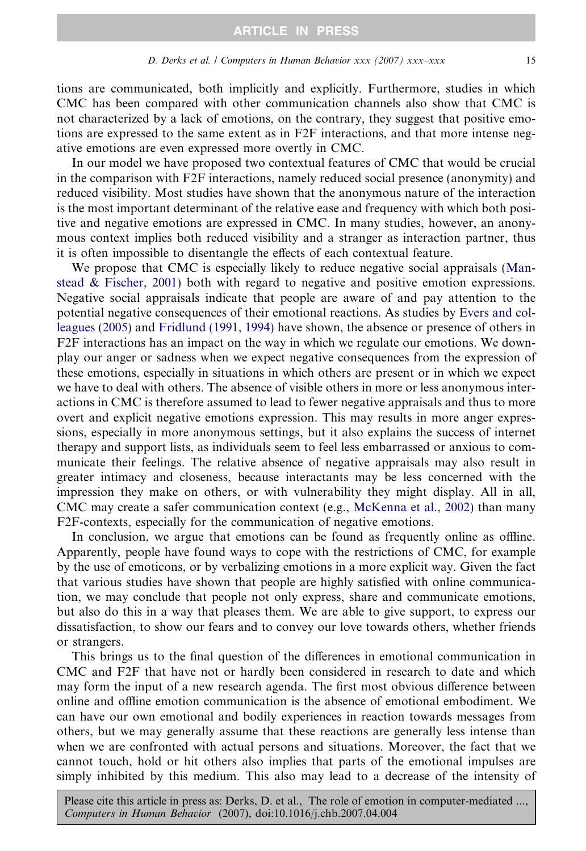tions are communicated, both implicitly and explicitly. Furthermore, studies in which CMC has been compared with other communication channels also show that CMC is not characterized by a lack of emotions, on the contrary, they suggest that positive emotions are expressed to the same extent as in F2F interactions, and that more intense negative emotions are even expressed more overtly in CMC.

In our model we have proposed two contextual features of CMC that would be crucial in the comparison with F2F interactions, namely reduced social presence (anonymity) and reduced visibility. Most studies have shown that the anonymous nature of the interaction is the most important determinant of the relative ease and frequency with which both positive and negative emotions are expressed in CMC. In many studies, however, an anonymous context implies both reduced visibility and a stranger as interaction partner, thus it is often impossible to disentangle the effects of each contextual feature.

We propose that CMC is especially likely to reduce negative social appraisals [\(Man](#page-17-0)[stead & Fischer, 2001\)](#page-17-0) both with regard to negative and positive emotion expressions. Negative social appraisals indicate that people are aware of and pay attention to the potential negative consequences of their emotional reactions. As studies by [Evers and col](#page-16-0)[leagues \(2005\)](#page-16-0) and [Fridlund \(1991, 1994\)](#page-16-0) have shown, the absence or presence of others in F2F interactions has an impact on the way in which we regulate our emotions. We downplay our anger or sadness when we expect negative consequences from the expression of these emotions, especially in situations in which others are present or in which we expect we have to deal with others. The absence of visible others in more or less anonymous interactions in CMC is therefore assumed to lead to fewer negative appraisals and thus to more overt and explicit negative emotions expression. This may results in more anger expressions, especially in more anonymous settings, but it also explains the success of internet therapy and support lists, as individuals seem to feel less embarrassed or anxious to communicate their feelings. The relative absence of negative appraisals may also result in greater intimacy and closeness, because interactants may be less concerned with the impression they make on others, or with vulnerability they might display. All in all, CMC may create a safer communication context (e.g., [McKenna et al., 2002](#page-18-0)) than many F2F-contexts, especially for the communication of negative emotions.

In conclusion, we argue that emotions can be found as frequently online as offline. Apparently, people have found ways to cope with the restrictions of CMC, for example by the use of emoticons, or by verbalizing emotions in a more explicit way. Given the fact that various studies have shown that people are highly satisfied with online communication, we may conclude that people not only express, share and communicate emotions, but also do this in a way that pleases them. We are able to give support, to express our dissatisfaction, to show our fears and to convey our love towards others, whether friends or strangers.

This brings us to the final question of the differences in emotional communication in CMC and F2F that have not or hardly been considered in research to date and which may form the input of a new research agenda. The first most obvious difference between online and offline emotion communication is the absence of emotional embodiment. We can have our own emotional and bodily experiences in reaction towards messages from others, but we may generally assume that these reactions are generally less intense than when we are confronted with actual persons and situations. Moreover, the fact that we cannot touch, hold or hit others also implies that parts of the emotional impulses are simply inhibited by this medium. This also may lead to a decrease of the intensity of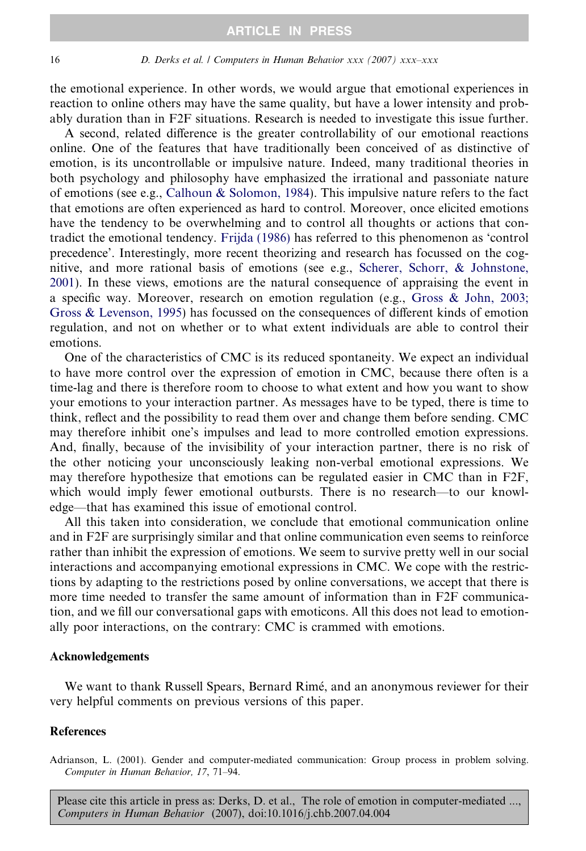<span id="page-15-0"></span>the emotional experience. In other words, we would argue that emotional experiences in reaction to online others may have the same quality, but have a lower intensity and probably duration than in F2F situations. Research is needed to investigate this issue further.

A second, related difference is the greater controllability of our emotional reactions online. One of the features that have traditionally been conceived of as distinctive of emotion, is its uncontrollable or impulsive nature. Indeed, many traditional theories in both psychology and philosophy have emphasized the irrational and passoniate nature of emotions (see e.g., [Calhoun & Solomon, 1984](#page-16-0)). This impulsive nature refers to the fact that emotions are often experienced as hard to control. Moreover, once elicited emotions have the tendency to be overwhelming and to control all thoughts or actions that contradict the emotional tendency. [Frijda \(1986\)](#page-16-0) has referred to this phenomenon as 'control precedence'. Interestingly, more recent theorizing and research has focussed on the cognitive, and more rational basis of emotions (see e.g., [Scherer, Schorr, & Johnstone,](#page-18-0) [2001\)](#page-18-0). In these views, emotions are the natural consequence of appraising the event in a specific way. Moreover, research on emotion regulation (e.g., [Gross & John, 2003;](#page-16-0) [Gross & Levenson, 1995](#page-16-0)) has focussed on the consequences of different kinds of emotion regulation, and not on whether or to what extent individuals are able to control their emotions.

One of the characteristics of CMC is its reduced spontaneity. We expect an individual to have more control over the expression of emotion in CMC, because there often is a time-lag and there is therefore room to choose to what extent and how you want to show your emotions to your interaction partner. As messages have to be typed, there is time to think, reflect and the possibility to read them over and change them before sending. CMC may therefore inhibit one's impulses and lead to more controlled emotion expressions. And, finally, because of the invisibility of your interaction partner, there is no risk of the other noticing your unconsciously leaking non-verbal emotional expressions. We may therefore hypothesize that emotions can be regulated easier in CMC than in F2F, which would imply fewer emotional outbursts. There is no research—to our knowledge—that has examined this issue of emotional control.

All this taken into consideration, we conclude that emotional communication online and in F2F are surprisingly similar and that online communication even seems to reinforce rather than inhibit the expression of emotions. We seem to survive pretty well in our social interactions and accompanying emotional expressions in CMC. We cope with the restrictions by adapting to the restrictions posed by online conversations, we accept that there is more time needed to transfer the same amount of information than in F2F communication, and we fill our conversational gaps with emoticons. All this does not lead to emotionally poor interactions, on the contrary: CMC is crammed with emotions.

#### Acknowledgements

We want to thank Russell Spears, Bernard Rimé, and an anonymous reviewer for their very helpful comments on previous versions of this paper.

### References

Adrianson, L. (2001). Gender and computer-mediated communication: Group process in problem solving. Computer in Human Behavior, 17, 71–94.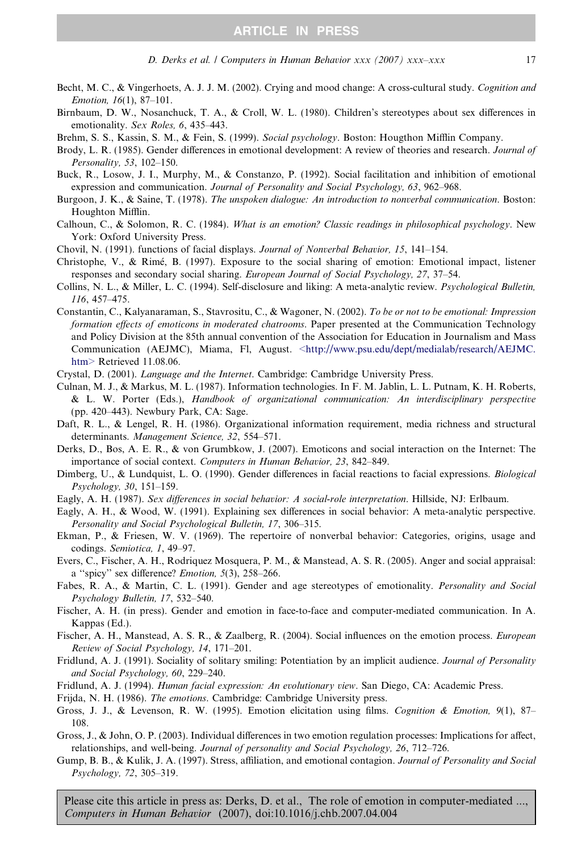- <span id="page-16-0"></span>Becht, M. C., & Vingerhoets, A. J. J. M. (2002). Crying and mood change: A cross-cultural study. Cognition and Emotion, 16(1), 87–101.
- Birnbaum, D. W., Nosanchuck, T. A., & Croll, W. L. (1980). Children's stereotypes about sex differences in emotionality. Sex Roles, 6, 435–443.
- Brehm, S. S., Kassin, S. M., & Fein, S. (1999). Social psychology. Boston: Hougthon Mifflin Company.
- Brody, L. R. (1985). Gender differences in emotional development: A review of theories and research. Journal of Personality, 53, 102–150.
- Buck, R., Losow, J. I., Murphy, M., & Constanzo, P. (1992). Social facilitation and inhibition of emotional expression and communication. Journal of Personality and Social Psychology, 63, 962–968.
- Burgoon, J. K., & Saine, T. (1978). The unspoken dialogue: An introduction to nonverbal communication. Boston: Houghton Mifflin.
- Calhoun, C., & Solomon, R. C. (1984). What is an emotion? Classic readings in philosophical psychology. New York: Oxford University Press.
- Chovil, N. (1991). functions of facial displays. Journal of Nonverbal Behavior, 15, 141–154.
- Christophe, V., & Rimé, B. (1997). Exposure to the social sharing of emotion: Emotional impact, listener responses and secondary social sharing. European Journal of Social Psychology, 27, 37–54.
- Collins, N. L., & Miller, L. C. (1994). Self-disclosure and liking: A meta-analytic review. Psychological Bulletin, 116, 457–475.
- Constantin, C., Kalyanaraman, S., Stavrositu, C., & Wagoner, N. (2002). To be or not to be emotional: Impression formation effects of emoticons in moderated chatrooms. Paper presented at the Communication Technology and Policy Division at the 85th annual convention of the Association for Education in Journalism and Mass Communication (AEJMC), Miama, Fl, August. [<http://www.psu.edu/dept/medialab/research/AEJMC.](http://www.psu.edu/dept/medialab/research/AEJMC.htm) [htm>](http://www.psu.edu/dept/medialab/research/AEJMC.htm) Retrieved 11.08.06.
- Crystal, D. (2001). Language and the Internet. Cambridge: Cambridge University Press.
- Culnan, M. J., & Markus, M. L. (1987). Information technologies. In F. M. Jablin, L. L. Putnam, K. H. Roberts, & L. W. Porter (Eds.), Handbook of organizational communication: An interdisciplinary perspective (pp. 420–443). Newbury Park, CA: Sage.
- Daft, R. L., & Lengel, R. H. (1986). Organizational information requirement, media richness and structural determinants. Management Science, 32, 554–571.
- Derks, D., Bos, A. E. R., & von Grumbkow, J. (2007). Emoticons and social interaction on the Internet: The importance of social context. Computers in Human Behavior, 23, 842–849.
- Dimberg, U., & Lundquist, L. O. (1990). Gender differences in facial reactions to facial expressions. *Biological* Psychology, 30, 151–159.
- Eagly, A. H. (1987). Sex differences in social behavior: A social-role interpretation. Hillside, NJ: Erlbaum.
- Eagly, A. H., & Wood, W. (1991). Explaining sex differences in social behavior: A meta-analytic perspective. Personality and Social Psychological Bulletin, 17, 306–315.
- Ekman, P., & Friesen, W. V. (1969). The repertoire of nonverbal behavior: Categories, origins, usage and codings. Semiotica, 1, 49–97.
- Evers, C., Fischer, A. H., Rodriquez Mosquera, P. M., & Manstead, A. S. R. (2005). Anger and social appraisal: a ''spicy'' sex difference? Emotion, 5(3), 258–266.
- Fabes, R. A., & Martin, C. L. (1991). Gender and age stereotypes of emotionality. Personality and Social Psychology Bulletin, 17, 532–540.
- Fischer, A. H. (in press). Gender and emotion in face-to-face and computer-mediated communication. In A. Kappas (Ed.).
- Fischer, A. H., Manstead, A. S. R., & Zaalberg, R. (2004). Social influences on the emotion process. European Review of Social Psychology, 14, 171–201.
- Fridlund, A. J. (1991). Sociality of solitary smiling: Potentiation by an implicit audience. Journal of Personality and Social Psychology, 60, 229–240.
- Fridlund, A. J. (1994). Human facial expression: An evolutionary view. San Diego, CA: Academic Press.
- Frijda, N. H. (1986). The emotions. Cambridge: Cambridge University press.
- Gross, J. J., & Levenson, R. W. (1995). Emotion elicitation using films. Cognition & Emotion, 9(1), 87-108.
- Gross, J., & John, O. P. (2003). Individual differences in two emotion regulation processes: Implications for affect, relationships, and well-being. Journal of personality and Social Psychology, 26, 712–726.
- Gump, B. B., & Kulik, J. A. (1997). Stress, affiliation, and emotional contagion. Journal of Personality and Social Psychology, 72, 305–319.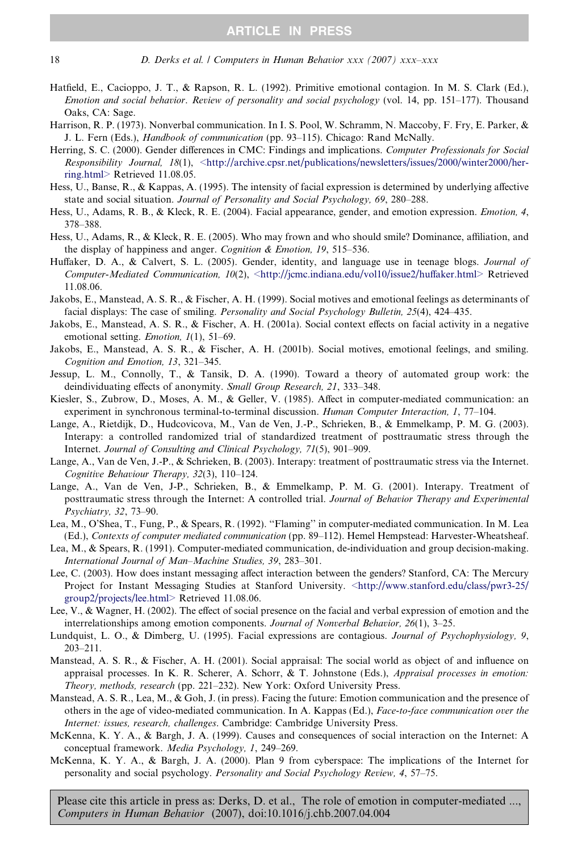- <span id="page-17-0"></span>Hatfield, E., Cacioppo, J. T., & Rapson, R. L. (1992). Primitive emotional contagion. In M. S. Clark (Ed.), Emotion and social behavior. Review of personality and social psychology (vol. 14, pp. 151–177). Thousand Oaks, CA: Sage.
- Harrison, R. P. (1973). Nonverbal communication. In I. S. Pool, W. Schramm, N. Maccoby, F. Fry, E. Parker, & J. L. Fern (Eds.), Handbook of communication (pp. 93–115). Chicago: Rand McNally.
- Herring, S. C. (2000). Gender differences in CMC: Findings and implications. Computer Professionals for Social Responsibility Journal, 18(1), [<http://archive.cpsr.net/publications/newsletters/issues/2000/winter2000/her](http://archive.cpsr.net/publications/newsletters/issues/2000/winter2000/herring.html)[ring.html>](http://archive.cpsr.net/publications/newsletters/issues/2000/winter2000/herring.html) Retrieved 11.08.05.
- Hess, U., Banse, R., & Kappas, A. (1995). The intensity of facial expression is determined by underlying affective state and social situation. Journal of Personality and Social Psychology, 69, 280–288.
- Hess, U., Adams, R. B., & Kleck, R. E. (2004). Facial appearance, gender, and emotion expression. Emotion, 4, 378–388.
- Hess, U., Adams, R., & Kleck, R. E. (2005). Who may frown and who should smile? Dominance, affiliation, and the display of happiness and anger. *Cognition & Emotion*, 19, 515–536.
- Huffaker, D. A., & Calvert, S. L. (2005). Gender, identity, and language use in teenage blogs. Journal of Computer-Mediated Communication, 10(2), [<http://jcmc.indiana.edu/vol10/issue2/huffaker.html>](http://jcmc.indiana.edu/vol10/issue2/huffaker.html)Retrieved 11.08.06.
- Jakobs, E., Manstead, A. S. R., & Fischer, A. H. (1999). Social motives and emotional feelings as determinants of facial displays: The case of smiling. *Personality and Social Psychology Bulletin*, 25(4), 424–435.
- Jakobs, E., Manstead, A. S. R., & Fischer, A. H. (2001a). Social context effects on facial activity in a negative emotional setting. *Emotion*,  $1(1)$ , 51–69.
- Jakobs, E., Manstead, A. S. R., & Fischer, A. H. (2001b). Social motives, emotional feelings, and smiling. Cognition and Emotion, 13, 321–345.
- Jessup, L. M., Connolly, T., & Tansik, D. A. (1990). Toward a theory of automated group work: the deindividuating effects of anonymity. Small Group Research, 21, 333–348.
- Kiesler, S., Zubrow, D., Moses, A. M., & Geller, V. (1985). Affect in computer-mediated communication: an experiment in synchronous terminal-to-terminal discussion. Human Computer Interaction, 1, 77–104.
- Lange, A., Rietdijk, D., Hudcovicova, M., Van de Ven, J.-P., Schrieken, B., & Emmelkamp, P. M. G. (2003). Interapy: a controlled randomized trial of standardized treatment of posttraumatic stress through the Internet. Journal of Consulting and Clinical Psychology, 71(5), 901–909.
- Lange, A., Van de Ven, J.-P., & Schrieken, B. (2003). Interapy: treatment of posttraumatic stress via the Internet. Cognitive Behaviour Therapy, 32(3), 110–124.
- Lange, A., Van de Ven, J-P., Schrieken, B., & Emmelkamp, P. M. G. (2001). Interapy. Treatment of posttraumatic stress through the Internet: A controlled trial. Journal of Behavior Therapy and Experimental Psychiatry, 32, 73–90.
- Lea, M., O'Shea, T., Fung, P., & Spears, R. (1992). ''Flaming'' in computer-mediated communication. In M. Lea (Ed.), Contexts of computer mediated communication (pp. 89–112). Hemel Hempstead: Harvester-Wheatsheaf.
- Lea, M., & Spears, R. (1991). Computer-mediated communication, de-individuation and group decision-making. International Journal of Man–Machine Studies, 39, 283–301.
- Lee, C. (2003). How does instant messaging affect interaction between the genders? Stanford, CA: The Mercury Project for Instant Messaging Studies at Stanford University. [<http://www.stanford.edu/class/pwr3-25/](http://www.stanford.edu/class/pwr3-25/group2/projects/lee.html) [group2/projects/lee.html>](http://www.stanford.edu/class/pwr3-25/group2/projects/lee.html) Retrieved 11.08.06.
- Lee, V., & Wagner, H. (2002). The effect of social presence on the facial and verbal expression of emotion and the interrelationships among emotion components. Journal of Nonverbal Behavior, 26(1), 3–25.
- Lundquist, L. O., & Dimberg, U. (1995). Facial expressions are contagious. Journal of Psychophysiology, 9, 203–211.
- Manstead, A. S. R., & Fischer, A. H. (2001). Social appraisal: The social world as object of and influence on appraisal processes. In K. R. Scherer, A. Schorr, & T. Johnstone (Eds.), Appraisal processes in emotion: Theory, methods, research (pp. 221–232). New York: Oxford University Press.
- Manstead, A. S. R., Lea, M., & Goh, J. (in press). Facing the future: Emotion communication and the presence of others in the age of video-mediated communication. In A. Kappas (Ed.), Face-to-face communication over the Internet: issues, research, challenges. Cambridge: Cambridge University Press.
- McKenna, K. Y. A., & Bargh, J. A. (1999). Causes and consequences of social interaction on the Internet: A conceptual framework. Media Psychology, 1, 249–269.
- McKenna, K. Y. A., & Bargh, J. A. (2000). Plan 9 from cyberspace: The implications of the Internet for personality and social psychology. Personality and Social Psychology Review, 4, 57–75.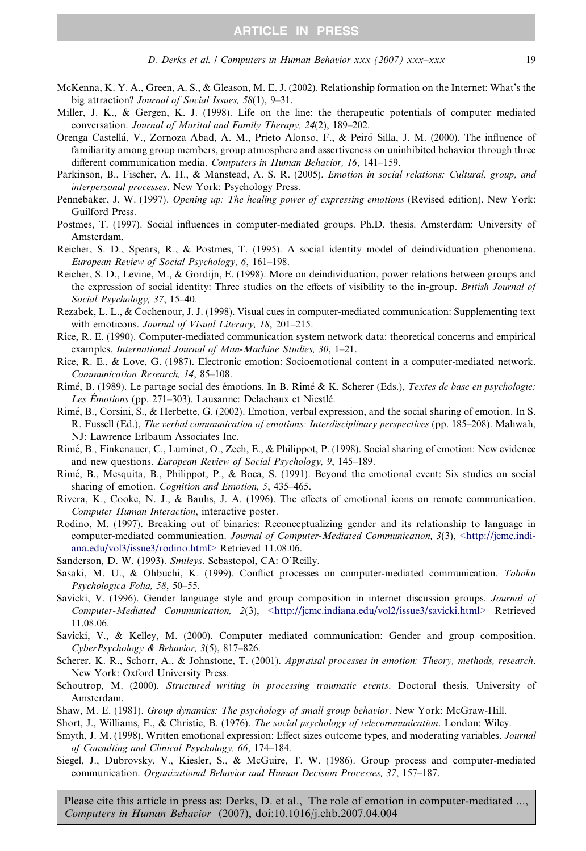- <span id="page-18-0"></span>McKenna, K. Y. A., Green, A. S., & Gleason, M. E. J. (2002). Relationship formation on the Internet: What's the big attraction? Journal of Social Issues, 58(1), 9-31.
- Miller, J. K., & Gergen, K. J. (1998). Life on the line: the therapeutic potentials of computer mediated conversation. Journal of Marital and Family Therapy, 24(2), 189–202.
- Orenga Castellá, V., Zornoza Abad, A. M., Prieto Alonso, F., & Peiró Silla, J. M. (2000). The influence of familiarity among group members, group atmosphere and assertiveness on uninhibited behavior through three different communication media. Computers in Human Behavior, 16, 141–159.
- Parkinson, B., Fischer, A. H., & Manstead, A. S. R. (2005). Emotion in social relations: Cultural, group, and interpersonal processes. New York: Psychology Press.
- Pennebaker, J. W. (1997). Opening up: The healing power of expressing emotions (Revised edition). New York: Guilford Press.
- Postmes, T. (1997). Social influences in computer-mediated groups. Ph.D. thesis. Amsterdam: University of Amsterdam.
- Reicher, S. D., Spears, R., & Postmes, T. (1995). A social identity model of deindividuation phenomena. European Review of Social Psychology, 6, 161–198.
- Reicher, S. D., Levine, M., & Gordijn, E. (1998). More on deindividuation, power relations between groups and the expression of social identity: Three studies on the effects of visibility to the in-group. British Journal of Social Psychology, 37, 15–40.
- Rezabek, L. L., & Cochenour, J. J. (1998). Visual cues in computer-mediated communication: Supplementing text with emoticons. Journal of Visual Literacy, 18, 201-215.
- Rice, R. E. (1990). Computer-mediated communication system network data: theoretical concerns and empirical examples. International Journal of Man-Machine Studies, 30, 1–21.
- Rice, R. E., & Love, G. (1987). Electronic emotion: Socioemotional content in a computer-mediated network. Communication Research, 14, 85–108.
- Rimé, B. (1989). Le partage social des émotions. In B. Rimé & K. Scherer (Eds.), Textes de base en psychologie: Les Emotions (pp. 271–303). Lausanne: Delachaux et Niestlé.
- Rime´, B., Corsini, S., & Herbette, G. (2002). Emotion, verbal expression, and the social sharing of emotion. In S. R. Fussell (Ed.), The verbal communication of emotions: Interdisciplinary perspectives (pp. 185–208). Mahwah, NJ: Lawrence Erlbaum Associates Inc.
- Rime´, B., Finkenauer, C., Luminet, O., Zech, E., & Philippot, P. (1998). Social sharing of emotion: New evidence and new questions. European Review of Social Psychology, 9, 145–189.
- Rime´, B., Mesquita, B., Philippot, P., & Boca, S. (1991). Beyond the emotional event: Six studies on social sharing of emotion. *Cognition and Emotion*, 5, 435–465.
- Rivera, K., Cooke, N. J., & Bauhs, J. A. (1996). The effects of emotional icons on remote communication. Computer Human Interaction, interactive poster.
- Rodino, M. (1997). Breaking out of binaries: Reconceptualizing gender and its relationship to language in computer-mediated communication. Journal of Computer-Mediated Communication, 3(3), [<http://jcmc.indi](http://jcmc.indiana.edu/vol3/issue3/rodino.html)[ana.edu/vol3/issue3/rodino.html>](http://jcmc.indiana.edu/vol3/issue3/rodino.html) Retrieved 11.08.06.
- Sanderson, D. W. (1993). Smileys. Sebastopol, CA: O'Reilly.
- Sasaki, M. U., & Ohbuchi, K. (1999). Conflict processes on computer-mediated communication. Tohoku Psychologica Folia, 58, 50–55.
- Savicki, V. (1996). Gender language style and group composition in internet discussion groups. *Journal of* Computer-Mediated Communication, 2(3), [<http://jcmc.indiana.edu/vol2/issue3/savicki.html>](http://jcmc.indiana.edu/vol2/issue3/savicki.html) Retrieved 11.08.06.
- Savicki, V., & Kelley, M. (2000). Computer mediated communication: Gender and group composition. CyberPsychology & Behavior, 3(5), 817–826.
- Scherer, K. R., Schorr, A., & Johnstone, T. (2001). Appraisal processes in emotion: Theory, methods, research. New York: Oxford University Press.
- Schoutrop, M. (2000). Structured writing in processing traumatic events. Doctoral thesis, University of Amsterdam.
- Shaw, M. E. (1981). Group dynamics: The psychology of small group behavior. New York: McGraw-Hill.
- Short, J., Williams, E., & Christie, B. (1976). The social psychology of telecommunication. London: Wiley.
- Smyth, J. M. (1998). Written emotional expression: Effect sizes outcome types, and moderating variables. Journal of Consulting and Clinical Psychology, 66, 174–184.
- Siegel, J., Dubrovsky, V., Kiesler, S., & McGuire, T. W. (1986). Group process and computer-mediated communication. Organizational Behavior and Human Decision Processes, 37, 157–187.